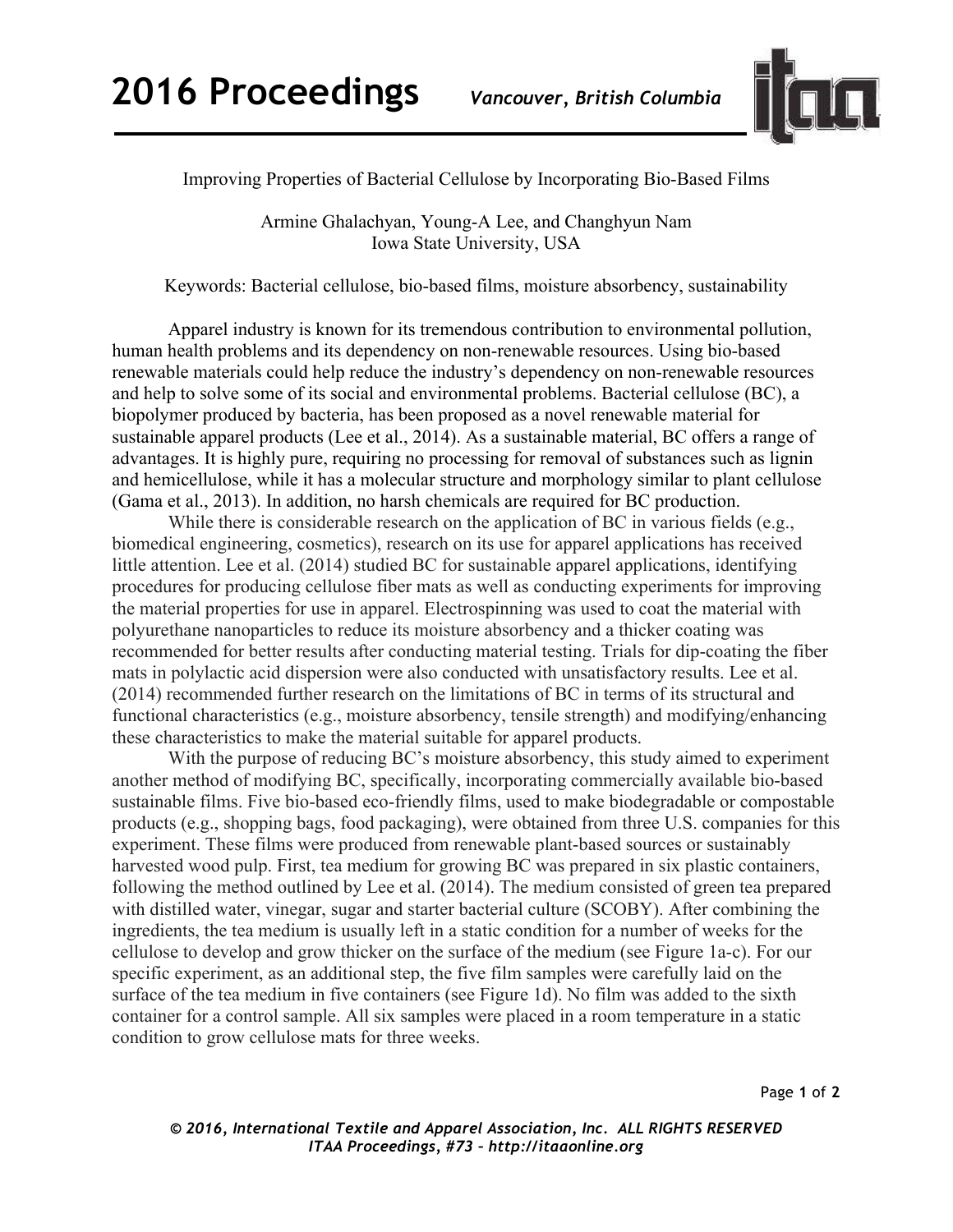

Improving Properties of Bacterial Cellulose by Incorporating Bio-Based Films

Armine Ghalachyan, Young-A Lee, and Changhyun Nam Iowa State University, USA

Keywords: Bacterial cellulose, bio-based films, moisture absorbency, sustainability

Apparel industry is known for its tremendous contribution to environmental pollution, human health problems and its dependency on non-renewable resources. Using bio-based renewable materials could help reduce the industry's dependency on non-renewable resources and help to solve some of its social and environmental problems. Bacterial cellulose (BC), a biopolymer produced by bacteria, has been proposed as a novel renewable material for sustainable apparel products (Lee et al., 2014). As a sustainable material, BC offers a range of advantages. It is highly pure, requiring no processing for removal of substances such as lignin and hemicellulose, while it has a molecular structure and morphology similar to plant cellulose (Gama et al., 2013). In addition, no harsh chemicals are required for BC production.

While there is considerable research on the application of BC in various fields (e.g., biomedical engineering, cosmetics), research on its use for apparel applications has received little attention. Lee et al. (2014) studied BC for sustainable apparel applications, identifying procedures for producing cellulose fiber mats as well as conducting experiments for improving the material properties for use in apparel. Electrospinning was used to coat the material with polyurethane nanoparticles to reduce its moisture absorbency and a thicker coating was recommended for better results after conducting material testing. Trials for dip-coating the fiber mats in polylactic acid dispersion were also conducted with unsatisfactory results. Lee et al. (2014) recommended further research on the limitations of BC in terms of its structural and functional characteristics (e.g., moisture absorbency, tensile strength) and modifying/enhancing these characteristics to make the material suitable for apparel products.

With the purpose of reducing BC's moisture absorbency, this study aimed to experiment another method of modifying BC, specifically, incorporating commercially available bio-based sustainable films. Five bio-based eco-friendly films, used to make biodegradable or compostable products (e.g., shopping bags, food packaging), were obtained from three U.S. companies for this experiment. These films were produced from renewable plant-based sources or sustainably harvested wood pulp. First, tea medium for growing BC was prepared in six plastic containers, following the method outlined by Lee et al. (2014). The medium consisted of green tea prepared with distilled water, vinegar, sugar and starter bacterial culture (SCOBY). After combining the ingredients, the tea medium is usually left in a static condition for a number of weeks for the cellulose to develop and grow thicker on the surface of the medium (see Figure 1a-c). For our specific experiment, as an additional step, the five film samples were carefully laid on the surface of the tea medium in five containers (see Figure 1d). No film was added to the sixth container for a control sample. All six samples were placed in a room temperature in a static condition to grow cellulose mats for three weeks.